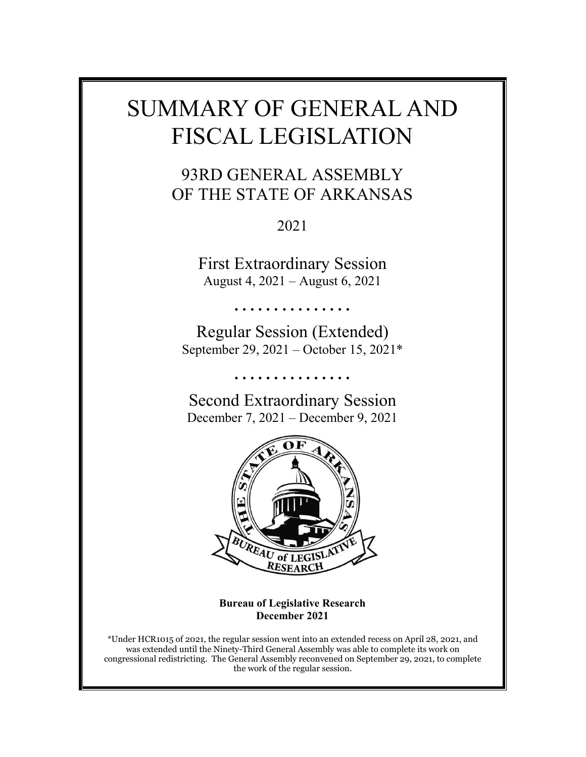# SUMMARY OF GENERAL AND FISCAL LEGISLATION

## 93RD GENERAL ASSEMBLY OF THE STATE OF ARKANSAS

2021

First Extraordinary Session August 4, 2021 – August 6, 2021

…………

Regular Session (Extended) September 29, 2021 – October 15, 2021\*

………………

Second Extraordinary Session December 7, 2021 – December 9, 2021



**Bureau of Legislative Research December 2021**

\*Under HCR1015 of 2021, the regular session went into an extended recess on April 28, 2021, and was extended until the Ninety-Third General Assembly was able to complete its work on congressional redistricting. The General Assembly reconvened on September 29, 2021, to complete the work of the regular session.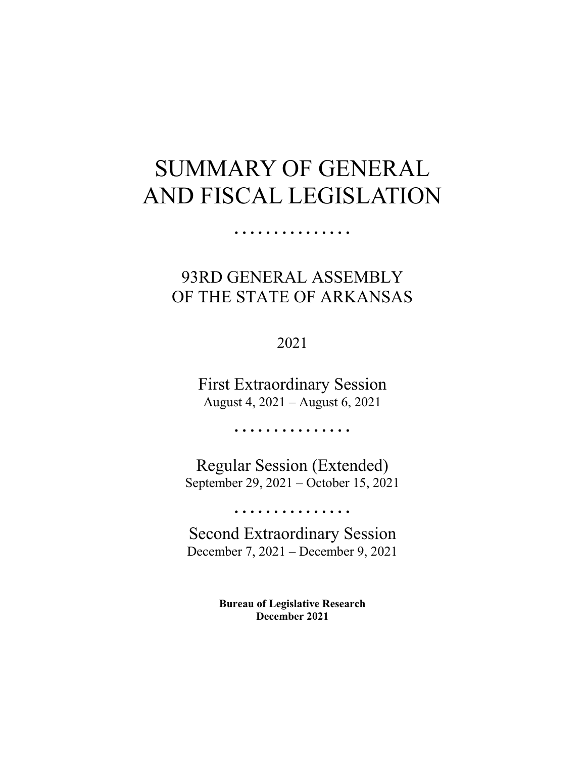# SUMMARY OF GENERAL AND FISCAL LEGISLATION

……………

# 93RD GENERAL ASSEMBLY OF THE STATE OF ARKANSAS

2021

First Extraordinary Session August 4, 2021 – August 6, 2021

……………

Regular Session (Extended) September 29, 2021 – October 15, 2021

……………

Second Extraordinary Session December 7, 2021 – December 9, 2021

> **Bureau of Legislative Research December 2021**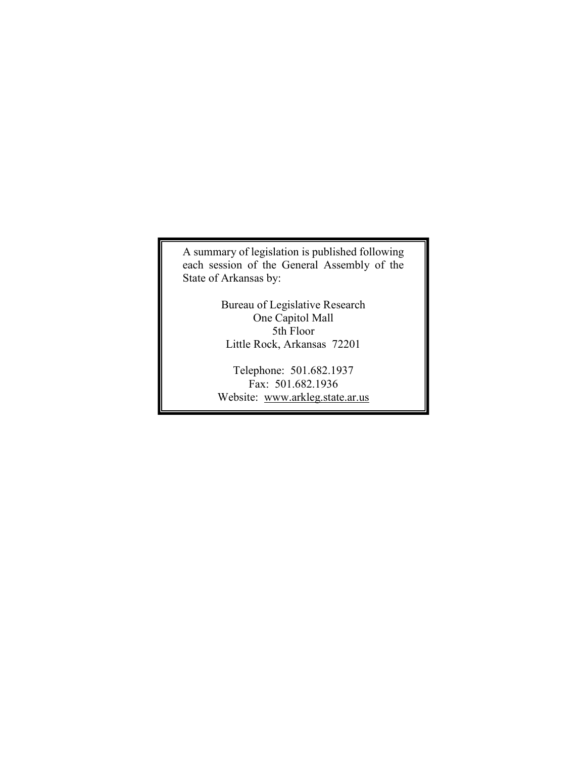A summary of legislation is published following each session of the General Assembly of the State of Arkansas by:

> Bureau of Legislative Research One Capitol Mall 5th Floor Little Rock, Arkansas 72201

Telephone: 501.682.1937 Fax: 501.682.1936 Website: www.arkleg.state.ar.us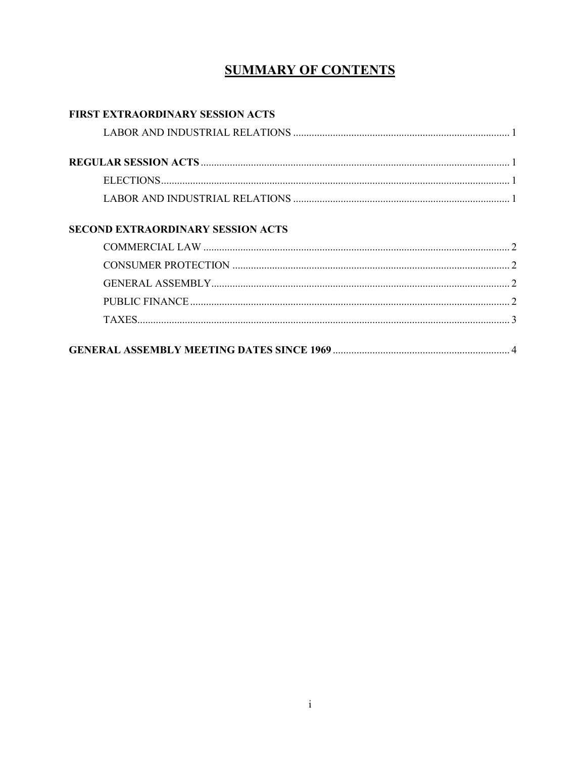## **SUMMARY OF CONTENTS**

| <b>FIRST EXTRAORDINARY SESSION ACTS</b>  |  |
|------------------------------------------|--|
|                                          |  |
|                                          |  |
|                                          |  |
|                                          |  |
|                                          |  |
| <b>SECOND EXTRAORDINARY SESSION ACTS</b> |  |
|                                          |  |
|                                          |  |
|                                          |  |
|                                          |  |
|                                          |  |
|                                          |  |
|                                          |  |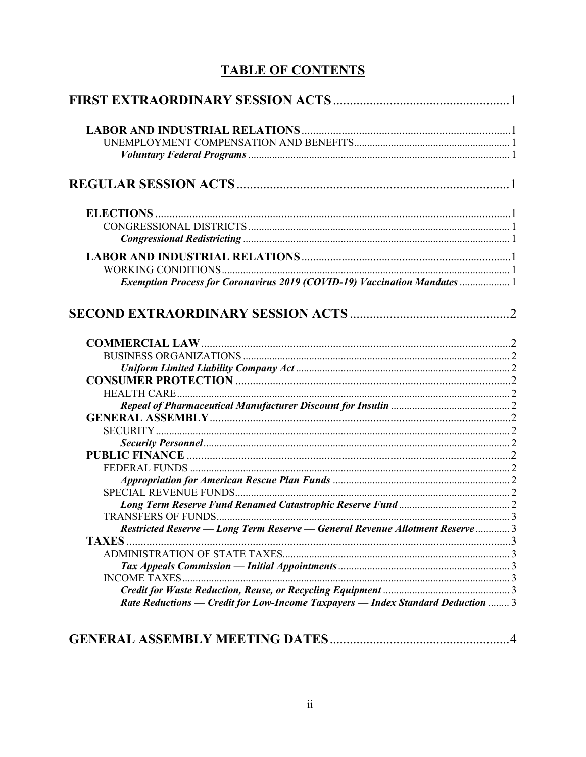### **TABLE OF CONTENTS**

| Exemption Process for Coronavirus 2019 (COVID-19) Vaccination Mandates  1     |  |
|-------------------------------------------------------------------------------|--|
|                                                                               |  |
|                                                                               |  |
|                                                                               |  |
|                                                                               |  |
|                                                                               |  |
|                                                                               |  |
|                                                                               |  |
|                                                                               |  |
|                                                                               |  |
|                                                                               |  |
|                                                                               |  |
|                                                                               |  |
|                                                                               |  |
|                                                                               |  |
|                                                                               |  |
|                                                                               |  |
| Restricted Reserve - Long Term Reserve - General Revenue Allotment Reserve  3 |  |
| <b>TAXES</b>                                                                  |  |
|                                                                               |  |
|                                                                               |  |
| <b>INCOME TAXES</b>                                                           |  |
|                                                                               |  |

#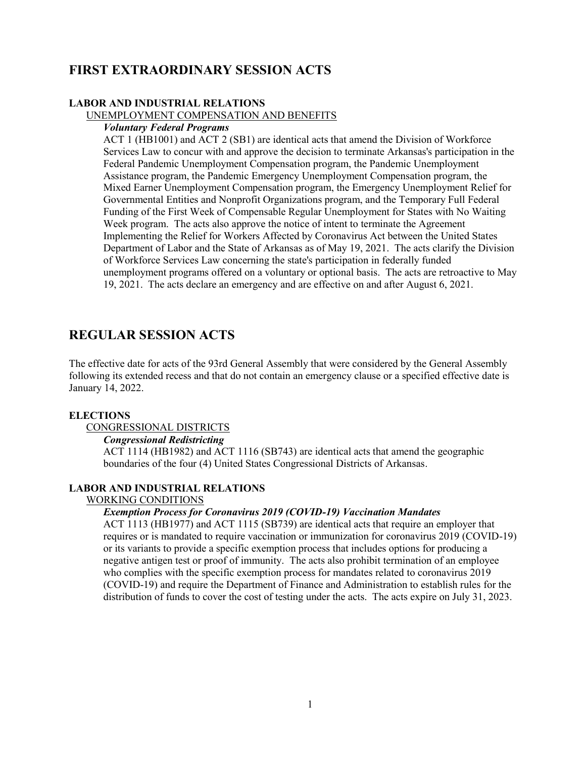### **FIRST EXTRAORDINARY SESSION ACTS**

#### **LABOR AND INDUSTRIAL RELATIONS**

#### UNEMPLOYMENT COMPENSATION AND BENEFITS

#### *Voluntary Federal Programs*

ACT 1 (HB1001) and ACT 2 (SB1) are identical acts that amend the Division of Workforce Services Law to concur with and approve the decision to terminate Arkansas's participation in the Federal Pandemic Unemployment Compensation program, the Pandemic Unemployment Assistance program, the Pandemic Emergency Unemployment Compensation program, the Mixed Earner Unemployment Compensation program, the Emergency Unemployment Relief for Governmental Entities and Nonprofit Organizations program, and the Temporary Full Federal Funding of the First Week of Compensable Regular Unemployment for States with No Waiting Week program. The acts also approve the notice of intent to terminate the Agreement Implementing the Relief for Workers Affected by Coronavirus Act between the United States Department of Labor and the State of Arkansas as of May 19, 2021. The acts clarify the Division of Workforce Services Law concerning the state's participation in federally funded unemployment programs offered on a voluntary or optional basis. The acts are retroactive to May 19, 2021. The acts declare an emergency and are effective on and after August 6, 2021.

### **REGULAR SESSION ACTS**

The effective date for acts of the 93rd General Assembly that were considered by the General Assembly following its extended recess and that do not contain an emergency clause or a specified effective date is January 14, 2022.

#### **ELECTIONS**

#### CONGRESSIONAL DISTRICTS

*Congressional Redistricting*

ACT 1114 (HB1982) and ACT 1116 (SB743) are identical acts that amend the geographic boundaries of the four (4) United States Congressional Districts of Arkansas.

#### **LABOR AND INDUSTRIAL RELATIONS**

#### WORKING CONDITIONS

#### *Exemption Process for Coronavirus 2019 (COVID-19) Vaccination Mandates*

ACT 1113 (HB1977) and ACT 1115 (SB739) are identical acts that require an employer that requires or is mandated to require vaccination or immunization for coronavirus 2019 (COVID-19) or its variants to provide a specific exemption process that includes options for producing a negative antigen test or proof of immunity. The acts also prohibit termination of an employee who complies with the specific exemption process for mandates related to coronavirus 2019 (COVID-19) and require the Department of Finance and Administration to establish rules for the distribution of funds to cover the cost of testing under the acts. The acts expire on July 31, 2023.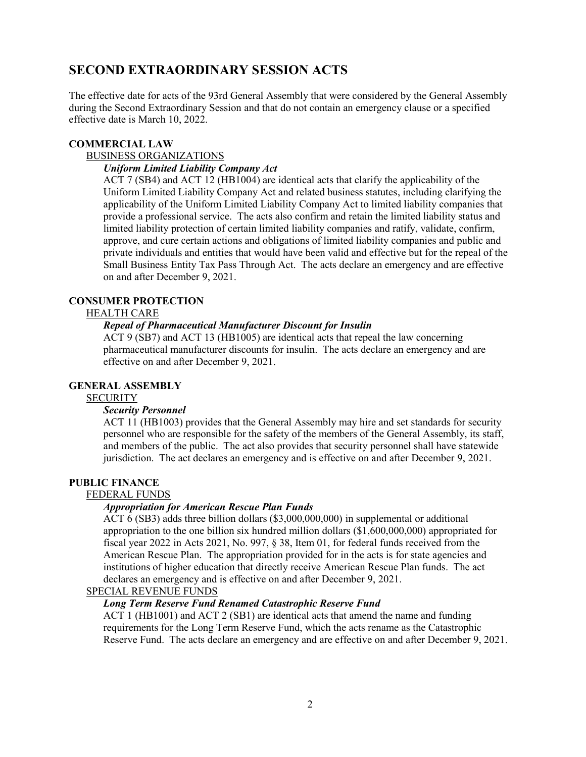### **SECOND EXTRAORDINARY SESSION ACTS**

The effective date for acts of the 93rd General Assembly that were considered by the General Assembly during the Second Extraordinary Session and that do not contain an emergency clause or a specified effective date is March 10, 2022.

#### **COMMERCIAL LAW**

#### BUSINESS ORGANIZATIONS

#### *Uniform Limited Liability Company Act*

ACT 7 (SB4) and ACT 12 (HB1004) are identical acts that clarify the applicability of the Uniform Limited Liability Company Act and related business statutes, including clarifying the applicability of the Uniform Limited Liability Company Act to limited liability companies that provide a professional service. The acts also confirm and retain the limited liability status and limited liability protection of certain limited liability companies and ratify, validate, confirm, approve, and cure certain actions and obligations of limited liability companies and public and private individuals and entities that would have been valid and effective but for the repeal of the Small Business Entity Tax Pass Through Act. The acts declare an emergency and are effective on and after December 9, 2021.

#### **CONSUMER PROTECTION**

#### HEALTH CARE

#### *Repeal of Pharmaceutical Manufacturer Discount for Insulin*

ACT 9 (SB7) and ACT 13 (HB1005) are identical acts that repeal the law concerning pharmaceutical manufacturer discounts for insulin. The acts declare an emergency and are effective on and after December 9, 2021.

#### **GENERAL ASSEMBLY**

#### **SECURITY**

#### *Security Personnel*

ACT 11 (HB1003) provides that the General Assembly may hire and set standards for security personnel who are responsible for the safety of the members of the General Assembly, its staff, and members of the public. The act also provides that security personnel shall have statewide jurisdiction. The act declares an emergency and is effective on and after December 9, 2021.

#### **PUBLIC FINANCE**

#### FEDERAL FUNDS

#### *Appropriation for American Rescue Plan Funds*

ACT 6 (SB3) adds three billion dollars (\$3,000,000,000) in supplemental or additional appropriation to the one billion six hundred million dollars (\$1,600,000,000) appropriated for fiscal year 2022 in Acts 2021, No. 997, § 38, Item 01, for federal funds received from the American Rescue Plan. The appropriation provided for in the acts is for state agencies and institutions of higher education that directly receive American Rescue Plan funds. The act declares an emergency and is effective on and after December 9, 2021.

#### SPECIAL REVENUE FUNDS

#### *Long Term Reserve Fund Renamed Catastrophic Reserve Fund*

ACT 1 (HB1001) and ACT 2 (SB1) are identical acts that amend the name and funding requirements for the Long Term Reserve Fund, which the acts rename as the Catastrophic Reserve Fund. The acts declare an emergency and are effective on and after December 9, 2021.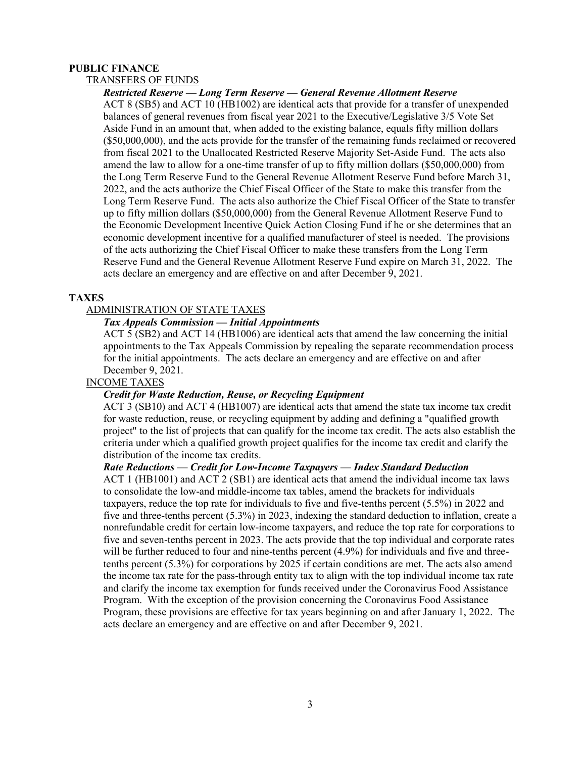#### **PUBLIC FINANCE**

#### TRANSFERS OF FUNDS

#### *Restricted Reserve — Long Term Reserve — General Revenue Allotment Reserve*

ACT 8 (SB5) and ACT 10 (HB1002) are identical acts that provide for a transfer of unexpended balances of general revenues from fiscal year 2021 to the Executive/Legislative 3/5 Vote Set Aside Fund in an amount that, when added to the existing balance, equals fifty million dollars (\$50,000,000), and the acts provide for the transfer of the remaining funds reclaimed or recovered from fiscal 2021 to the Unallocated Restricted Reserve Majority Set-Aside Fund. The acts also amend the law to allow for a one-time transfer of up to fifty million dollars (\$50,000,000) from the Long Term Reserve Fund to the General Revenue Allotment Reserve Fund before March 31, 2022, and the acts authorize the Chief Fiscal Officer of the State to make this transfer from the Long Term Reserve Fund. The acts also authorize the Chief Fiscal Officer of the State to transfer up to fifty million dollars (\$50,000,000) from the General Revenue Allotment Reserve Fund to the Economic Development Incentive Quick Action Closing Fund if he or she determines that an economic development incentive for a qualified manufacturer of steel is needed. The provisions of the acts authorizing the Chief Fiscal Officer to make these transfers from the Long Term Reserve Fund and the General Revenue Allotment Reserve Fund expire on March 31, 2022. The acts declare an emergency and are effective on and after December 9, 2021.

#### **TAXES**

#### ADMINISTRATION OF STATE TAXES

#### *Tax Appeals Commission — Initial Appointments*

ACT 5 (SB2) and ACT 14 (HB1006) are identical acts that amend the law concerning the initial appointments to the Tax Appeals Commission by repealing the separate recommendation process for the initial appointments. The acts declare an emergency and are effective on and after December 9, 2021.

#### INCOME TAXES

#### *Credit for Waste Reduction, Reuse, or Recycling Equipment*

ACT 3 (SB10) and ACT 4 (HB1007) are identical acts that amend the state tax income tax credit for waste reduction, reuse, or recycling equipment by adding and defining a "qualified growth project" to the list of projects that can qualify for the income tax credit. The acts also establish the criteria under which a qualified growth project qualifies for the income tax credit and clarify the distribution of the income tax credits.

#### *Rate Reductions — Credit for Low-Income Taxpayers — Index Standard Deduction*

ACT 1 (HB1001) and ACT 2 (SB1) are identical acts that amend the individual income tax laws to consolidate the low-and middle-income tax tables, amend the brackets for individuals taxpayers, reduce the top rate for individuals to five and five-tenths percent (5.5%) in 2022 and five and three-tenths percent (5.3%) in 2023, indexing the standard deduction to inflation, create a nonrefundable credit for certain low-income taxpayers, and reduce the top rate for corporations to five and seven-tenths percent in 2023. The acts provide that the top individual and corporate rates will be further reduced to four and nine-tenths percent (4.9%) for individuals and five and threetenths percent (5.3%) for corporations by 2025 if certain conditions are met. The acts also amend the income tax rate for the pass-through entity tax to align with the top individual income tax rate and clarify the income tax exemption for funds received under the Coronavirus Food Assistance Program. With the exception of the provision concerning the Coronavirus Food Assistance Program, these provisions are effective for tax years beginning on and after January 1, 2022. The acts declare an emergency and are effective on and after December 9, 2021.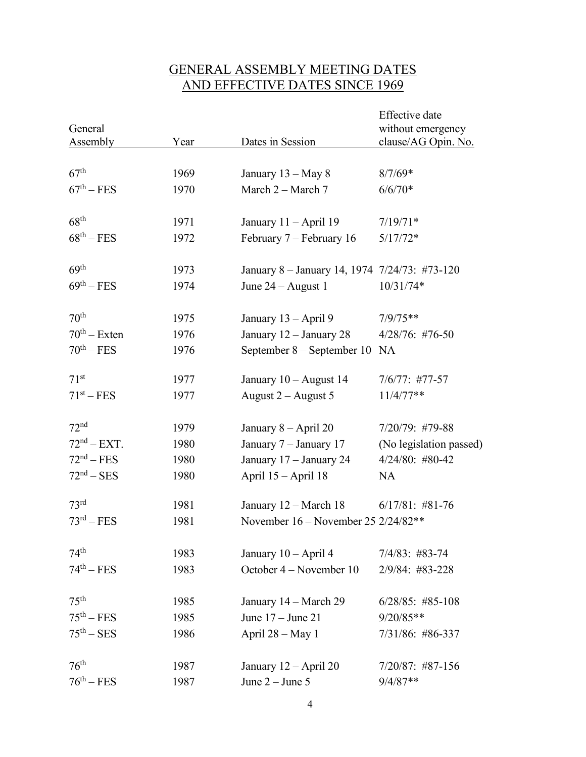### GENERAL ASSEMBLY MEETING DATES AND EFFECTIVE DATES SINCE 1969

| General<br><b>Assembly</b>    | Year | Dates in Session                              | Effective date<br>without emergency<br>clause/AG Opin. No. |
|-------------------------------|------|-----------------------------------------------|------------------------------------------------------------|
|                               |      |                                               |                                                            |
| 67 <sup>th</sup>              | 1969 | January $13 - May 8$                          | $8/7/69*$                                                  |
| $67^{\text{th}} - \text{FES}$ | 1970 | March 2 – March 7                             | $6/6/70*$                                                  |
| 68 <sup>th</sup>              | 1971 | January 11 - April 19                         | $7/19/71*$                                                 |
| $68^{\text{th}} - \text{FES}$ | 1972 | February 7 – February 16                      | $5/17/72*$                                                 |
| 69 <sup>th</sup>              | 1973 | January 8 - January 14, 1974 7/24/73: #73-120 |                                                            |
| $69^{\text{th}} - \text{FES}$ | 1974 | June $24 -$ August 1                          | $10/31/74*$                                                |
| 70 <sup>th</sup>              | 1975 | January 13 - April 9                          | $7/9/75**$                                                 |
| $70th - Exten$                | 1976 | January 12 - January 28                       | $4/28/76$ : #76-50                                         |
| $70^{th} - FES$               | 1976 | September $8 -$ September 10                  | <b>NA</b>                                                  |
| 71 <sup>st</sup>              | 1977 | January $10 -$ August 14                      | $7/6/77:$ #77-57                                           |
| $71^{st} - FES$               | 1977 | August $2 -$ August 5                         | $11/4/77**$                                                |
| 72 <sup>nd</sup>              | 1979 | January $8 -$ April 20                        | 7/20/79: #79-88                                            |
| 72 <sup>nd</sup> – EXT.       | 1980 | January 7 - January 17                        | (No legislation passed)                                    |
| $72nd - FES$                  | 1980 | January 17 - January 24                       | 4/24/80: #80-42                                            |
| $72nd - SES$                  | 1980 | April 15 - April 18                           | <b>NA</b>                                                  |
| 73 <sup>rd</sup>              | 1981 | January 12 – March 18                         | $6/17/81$ : #81-76                                         |
| $73^{\text{rd}} - \text{FES}$ | 1981 | November $16 -$ November 25 2/24/82**         |                                                            |
| 74 <sup>th</sup>              | 1983 | January 10 - April 4                          | $7/4/83$ : #83-74                                          |
| $74^{\text{th}} - FES$        | 1983 | October 4 – November 10                       | 2/9/84: #83-228                                            |
| 75 <sup>th</sup>              | 1985 | January 14 – March 29                         | $6/28/85$ : #85-108                                        |
| $75th - FES$                  | 1985 | June $17 -$ June $21$                         | $9/20/85**$                                                |
| $75th - SES$                  | 1986 | April 28 - May 1                              | 7/31/86: #86-337                                           |
| 76 <sup>th</sup>              | 1987 | January $12 -$ April 20                       | $7/20/87$ : #87-156                                        |
| $76^{\text{th}} - \text{FES}$ | 1987 | June $2 -$ June 5                             | $9/4/87**$                                                 |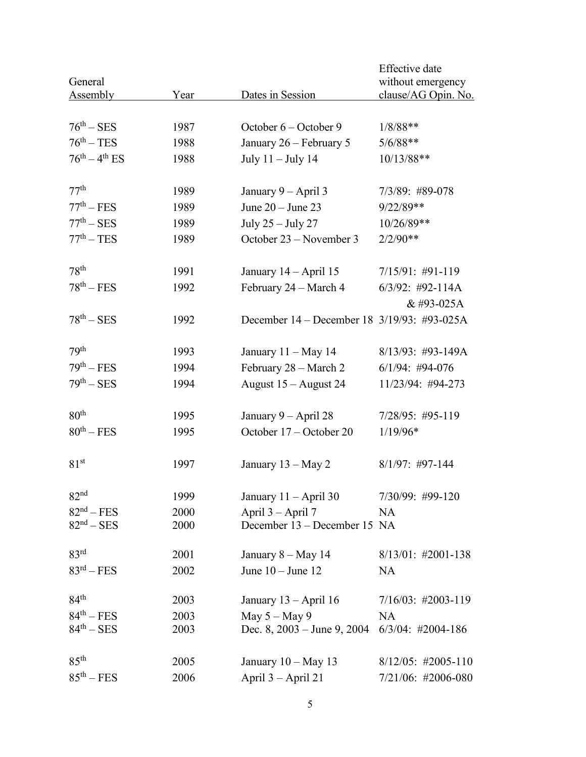| General                       |      |                                             | Effective date<br>without emergency |
|-------------------------------|------|---------------------------------------------|-------------------------------------|
| Assembly                      | Year | Dates in Session                            | clause/AG Opin. No.                 |
| $76^{\text{th}} - \text{SES}$ | 1987 | October $6 -$ October 9                     |                                     |
|                               |      |                                             | $1/8/88**$                          |
| $76^{\text{th}} - \text{TES}$ | 1988 | January 26 – February 5                     | $5/6/88**$                          |
| $76^{th} - 4^{th}$ ES         | 1988 | July $11 -$ July $14$                       | 10/13/88**                          |
| 77 <sup>th</sup>              | 1989 | January 9 – April 3                         | 7/3/89: #89-078                     |
| $77th - FES$                  | 1989 | June $20 -$ June $23$                       | 9/22/89**                           |
| $77^{\text{th}} - \text{SES}$ | 1989 | July 25 - July 27                           | 10/26/89**                          |
| $77^{\text{th}} - \text{TES}$ | 1989 | October 23 – November 3                     | $2/2/90**$                          |
| 78 <sup>th</sup>              | 1991 | January 14 – April 15                       | $7/15/91:$ #91-119                  |
| $78^{\text{th}} - \text{FES}$ | 1992 | February 24 – March 4                       | $6/3/92$ : #92-114A                 |
|                               |      |                                             | & #93-025A                          |
| $78^{th} - SES$               | 1992 | December 14 – December 18 3/19/93: #93-025A |                                     |
| 79 <sup>th</sup>              | 1993 | January $11 - May 14$                       | 8/13/93: #93-149A                   |
| $79th - FES$                  | 1994 | February 28 - March 2                       | $6/1/94$ : #94-076                  |
| $79th - SES$                  | 1994 | August 15 - August 24                       | 11/23/94: #94-273                   |
| 80 <sup>th</sup>              | 1995 | January $9 -$ April 28                      | 7/28/95: #95-119                    |
| $80^{th} - FES$               | 1995 | October 17 – October 20                     | $1/19/96*$                          |
| 81 <sup>st</sup>              | 1997 | January 13 – May 2                          | $8/1/97$ : #97-144                  |
| 82 <sup>nd</sup>              | 1999 | January $11 -$ April 30                     | 7/30/99: #99-120                    |
| $82nd - FES$                  | 2000 | April 3 - April 7                           | NA                                  |
| $82nd - SES$                  | 2000 | December 13 – December 15 NA                |                                     |
| 83 <sup>rd</sup>              | 2001 | January $8 - May 14$                        | $8/13/01$ : #2001-138               |
| $83rd - FES$                  | 2002 | June $10 -$ June $12$                       | <b>NA</b>                           |
| 84 <sup>th</sup>              | 2003 | January $13 - April 16$                     | $7/16/03$ : #2003-119               |
| $84th - FES$                  | 2003 | May $5 -$ May 9                             | <b>NA</b>                           |
| $84^{\text{th}} - \text{SES}$ | 2003 | Dec. $8, 2003 - \text{June } 9, 2004$       | $6/3/04$ : #2004-186                |
| 85 <sup>th</sup>              | 2005 | January $10 - May 13$                       | $8/12/05$ : #2005-110               |
| $85th - FES$                  | 2006 | April 3 – April 21                          | 7/21/06: #2006-080                  |